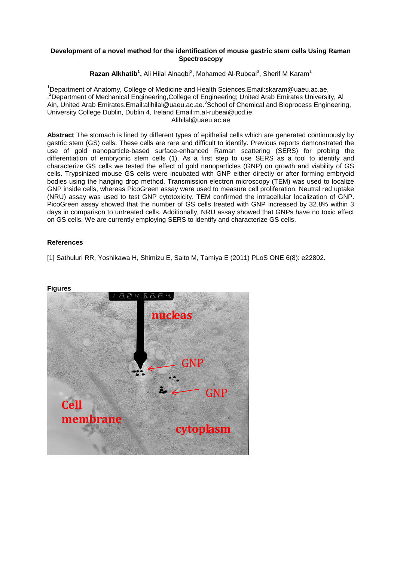## **Development of a novel method for the identification of mouse gastric stem cells Using Raman Spectroscopy**

Razan Alkhatib<sup>1</sup>, Ali Hilal Alnaqbi<sup>2</sup>, Mohamed Al-Rubeai<sup>3</sup>, Sherif M Karam<sup>1</sup>

<sup>1</sup>Department of Anatomy, College of Medicine and Health Sciences,Email:skaram@uaeu.ac.ae, . <sup>2</sup>Department of Mechanical Engineering,College of Engineering; United Arab Emirates University, Al Ain, United Arab Emirates. Email: alihilal@uaeu.ac.ae.<sup>3</sup> School of Chemical and Bioprocess Engineering, University College Dublin, Dublin 4, Ireland Email:m.al-rubeai@ucd.ie. Alihilal@uaeu.ac.ae

**Abstract** The stomach is lined by different types of epithelial cells which are generated continuously by gastric stem (GS) cells. These cells are rare and difficult to identify. Previous reports demonstrated the use of gold nanoparticle-based surface-enhanced Raman scattering (SERS) for probing the differentiation of embryonic stem cells (1). As a first step to use SERS as a tool to identify and characterize GS cells we tested the effect of gold nanoparticles (GNP) on growth and viability of GS cells. Trypsinized mouse GS cells were incubated with GNP either directly or after forming embryoid bodies using the hanging drop method. Transmission electron microscopy (TEM) was used to localize GNP inside cells, whereas PicoGreen assay were used to measure cell proliferation. Neutral red uptake (NRU) assay was used to test GNP cytotoxicity. TEM confirmed the intracellular localization of GNP. PicoGreen assay showed that the number of GS cells treated with GNP increased by 32.8% within 3 days in comparison to untreated cells. Additionally, NRU assay showed that GNPs have no toxic effect on GS cells. We are currently employing SERS to identify and characterize GS cells.

## **References**

[1] Sathuluri RR, Yoshikawa H, Shimizu E, Saito M, Tamiya E (2011) PLoS ONE 6(8): e22802.